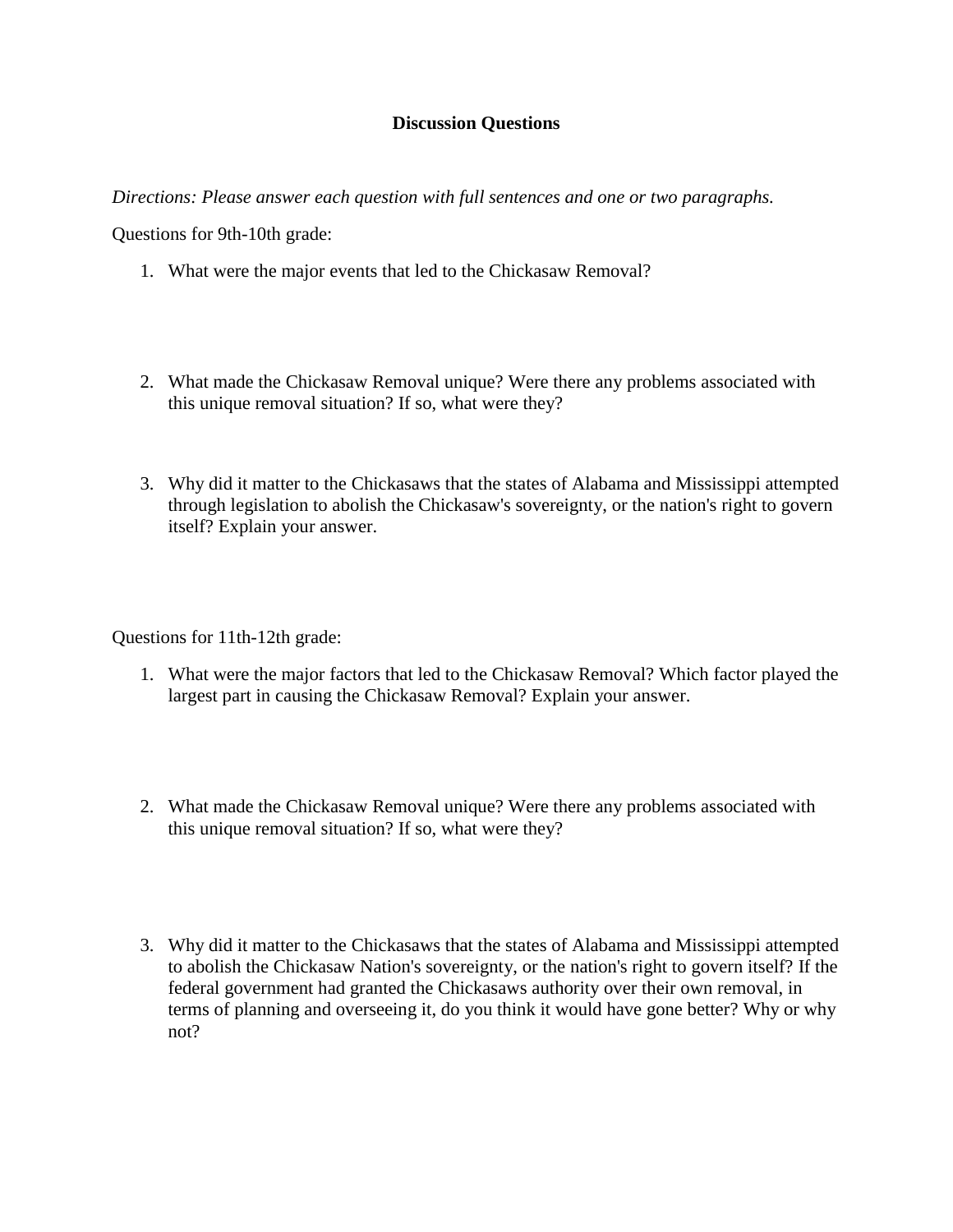## **Discussion Questions**

*Directions: Please answer each question with full sentences and one or two paragraphs.*

Questions for 9th-10th grade:

- 1. What were the major events that led to the Chickasaw Removal?
- 2. What made the Chickasaw Removal unique? Were there any problems associated with this unique removal situation? If so, what were they?
- 3. Why did it matter to the Chickasaws that the states of Alabama and Mississippi attempted through legislation to abolish the Chickasaw's sovereignty, or the nation's right to govern itself? Explain your answer.

Questions for 11th-12th grade:

- 1. What were the major factors that led to the Chickasaw Removal? Which factor played the largest part in causing the Chickasaw Removal? Explain your answer.
- 2. What made the Chickasaw Removal unique? Were there any problems associated with this unique removal situation? If so, what were they?
- 3. Why did it matter to the Chickasaws that the states of Alabama and Mississippi attempted to abolish the Chickasaw Nation's sovereignty, or the nation's right to govern itself? If the federal government had granted the Chickasaws authority over their own removal, in terms of planning and overseeing it, do you think it would have gone better? Why or why not?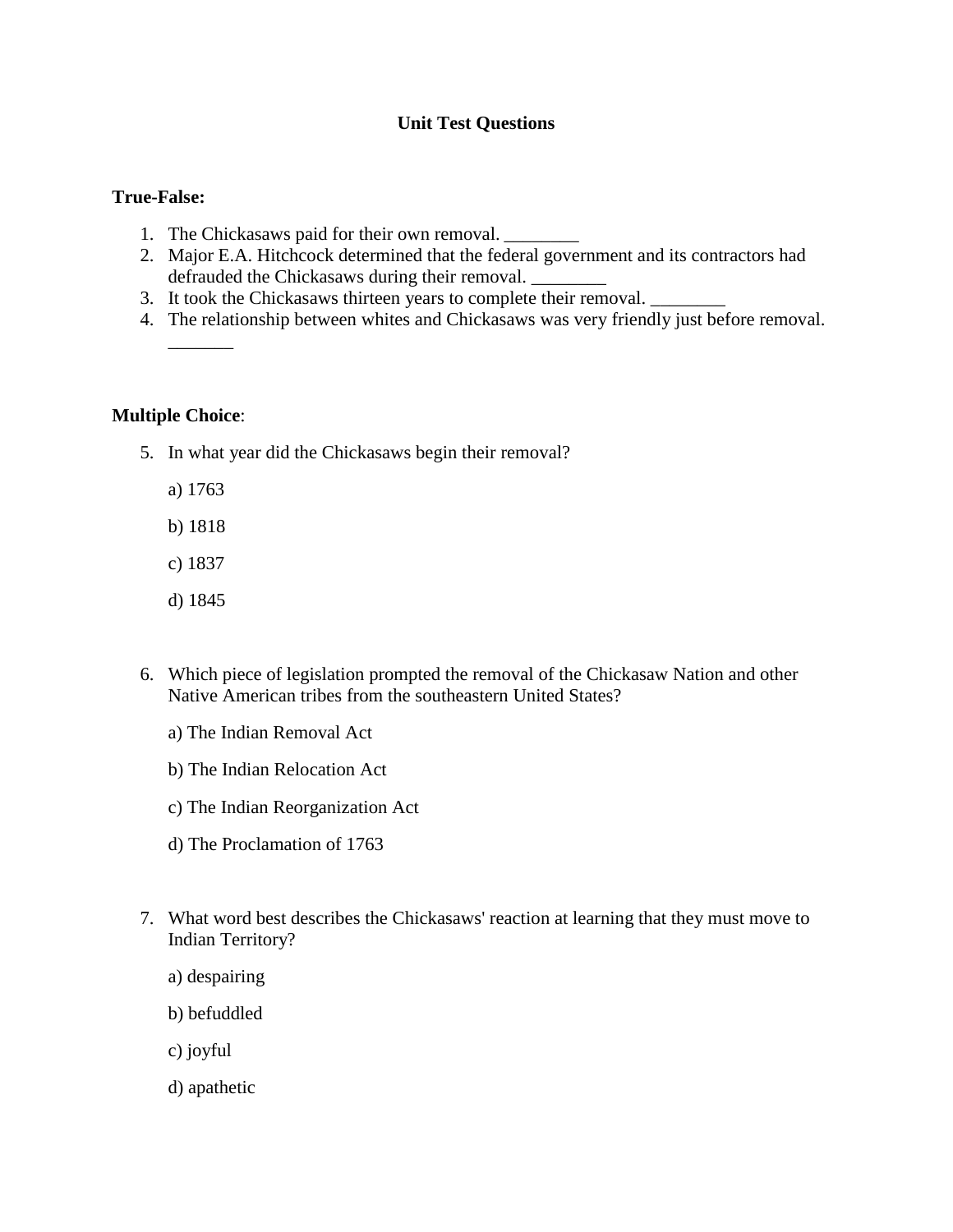# **Unit Test Questions**

#### **True-False:**

- 1. The Chickasaws paid for their own removal. \_\_\_\_\_\_\_\_\_\_\_\_\_\_\_\_\_\_\_\_\_\_\_\_\_\_\_\_\_\_\_\_\_\_
- 2. Major E.A. Hitchcock determined that the federal government and its contractors had defrauded the Chickasaws during their removal.
- 3. It took the Chickasaws thirteen years to complete their removal.
- 4. The relationship between whites and Chickasaws was very friendly just before removal.

#### **Multiple Choice**:

- 5. In what year did the Chickasaws begin their removal?
	- a) 1763

 $\overline{\phantom{a}}$ 

- b) 1818
- c) 1837
- d) 1845
- 6. Which piece of legislation prompted the removal of the Chickasaw Nation and other Native American tribes from the southeastern United States?
	- a) The Indian Removal Act
	- b) The Indian Relocation Act
	- c) The Indian Reorganization Act
	- d) The Proclamation of 1763
- 7. What word best describes the Chickasaws' reaction at learning that they must move to Indian Territory?
	- a) despairing
	- b) befuddled
	- c) joyful
	- d) apathetic